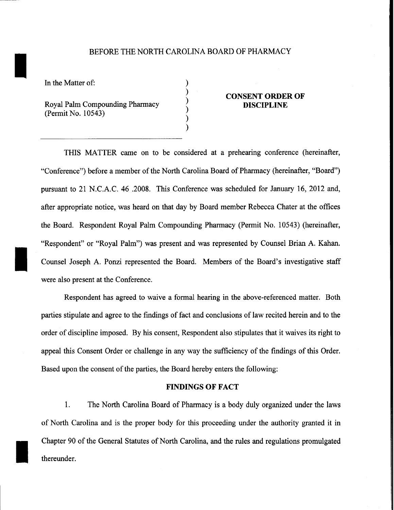# BEFORE THE NORTH CAROLINA BOARD OF PHARMACY

) ) ) ) ) )

In the Matter of:

I

I

I

Royal Palm Compounding Pharmacy (Permit No. 10543)

# **CONSENT ORDER OF DISCIPLINE**

THIS MATTER came on to be considered at a prehearing conference (hereinafter, "Conference") before a member of the North Carolina Board of Pharmacy (hereinafter, "Board") pursuant to 21 N.C.A.C. 46 .2008. This Conference was scheduled for January 16, 2012 and, after appropriate notice, was heard on that day by Board member Rebecca Chater at the offices the Board. Respondent Royal Palm Compounding Pharmacy (Permit No. 10543) (hereinafter, "Respondent" or "Royal Palm") was present and was represented by Counsel Brian A. Kahan. Counsel Joseph A. Ponzi represented the Board. Members of the Board's investigative staff were also present at the Conference.

Respondent has agreed to waive a formal hearing in the above-referenced matter. Both parties stipulate and agree to the findings of fact and conclusions of law recited herein and to the order of discipline imposed. By his consent, Respondent also stipulates that it waives its right to appeal this Consent Order or challenge in any way the sufficiency of the findings of this Order. Based upon the consent of the parties, the Board hereby enters the following:

### **FINDINGS OF FACT**

1. The North Carolina Board of Pharmacy is a body duly organized under the laws of North Carolina and is the proper body for this proceeding under the authority granted it in Chapter 90 of the General Statutes of North Carolina, and the rules and regulations promulgated thereunder.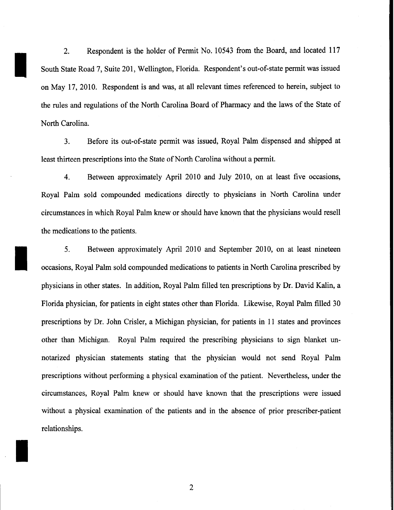2. Respondent is the holder of Permit No. 10543 from the Board, and located 117 South State Road 7, Suite 201, Wellington, Florida. Respondent's out-of-state permit was issued on May 17, 2010. Respondent is and was, at all relevant times referenced to herein, subject to the rules and regulations of the North Carolina Board of Pharmacy and the laws of the State of North Carolina.

I

I

I

3. Before its out-of-state permit was issued, Royal Palm dispensed and shipped at least thirteen prescriptions into the State of North Carolina without a permit.

4. Between approximately April 2010 and July 2010, on at least five occasions, Royal Palm sold compounded medications directly to physicians in North Carolina under circumstances in which Royal Palm knew or should have known that the physicians would resell the medications to the patients.

5. Between approximately April 2010 and September 2010, on at least nineteen occasions, Royal Palm sold compounded medications to patients in North Carolina prescribed by physicians in other states. In addition, Royal Palm filled ten prescriptions by Dr. David Kalin, a Florida physician, for patients in eight states other than Florida. Likewise, Royal Palm filled 30 prescriptions by Dr. John Crisler, a Michigan physician, for patients in 11 states and provinces other than Michigan. Royal Palm required the prescribing physicians to sign blanket unnotarized physician statements stating that the physician would not send Royal Palm prescriptions without performing a physical examination of the patient. Nevertheless, under the circumstances, Royal Palm knew or should have known that the prescriptions were issued without a physical examination of the patients and in the absence of prior prescriber-patient relationships.

2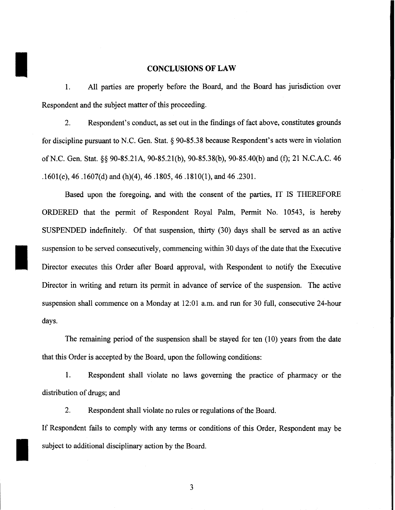**CONCLUSIONS OF LAW** 1. All parties are properly before the Board, and the Board has jurisdiction over Respondent and the subject matter of this proceeding.

2. Respondent's conduct, as set out in the findings of fact above, constitutes grounds for discipline pursuant to N.C. Gen. Stat. § 90-85.38 because Respondent's acts were in violation ofN.C. Gen. Stat. §§ 90-85.21A, 90-85.21(b), 90-85.38(b), 90-85.40(b) and (f); 21 N.C.A.C. 46 .1601(e), 46 .1607(d) and (h)(4), 46 .1805, 46 .1810(1), and 46 .2301.

Based upon the foregoing, and with the consent of the parties, IT IS THEREFORE ORDERED that the permit of Respondent Royal Palm, Permit No. 10543, is hereby SUSPENDED indefinitely. Of that suspension, thirty (30) days shall be served as an active suspension to be served consecutively, commencing within 30 days of the date that the Executive Director executes this Order after Board approval, with Respondent to notify the Executive Director in writing and return its permit in advance of service of the suspension. The active suspension shall commence on a Monday at 12:01 a.m. and run for 30 full, consecutive 24-hour days.

The remaining period of the suspension shall be stayed for ten  $(10)$  years from the date that this Order is accepted by the Board, upon the following conditions:

1. Respondent shall violate no laws governing the practice of pharmacy or the distribution of drugs; and

2. Respondent shall violate no rules or regulations of the Board.

If Respondent fails to comply with any terms or conditions of this Order, Respondent may be subject to additional disciplinary action by the Board.

3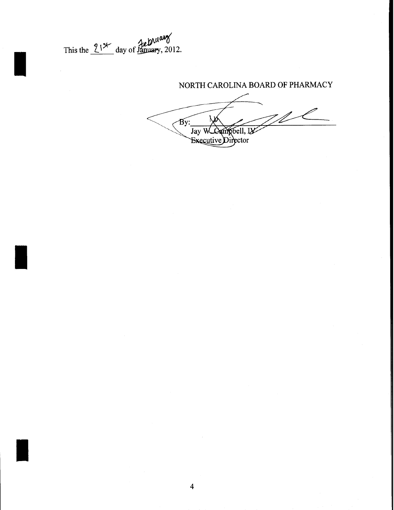This the  $2!^{x}$  day of January, 2012.

NORTH CAROLINA BOARD OF PHARMACY  $\sqrt{By}$ Jay W Campbell, IV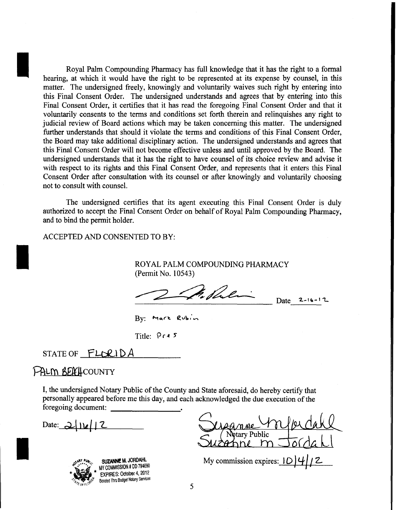Royal Palm Compounding Pharmacy has full knowledge that it has the right to a formal hearing, at which it would have the right to be represented at its expense by counsel, in this matter. The undersigned freely, knowingly and voluntarily waives such right by entering into this Final Consent Order. The undersigned understands and agrees that by entering into this Final Consent Order, it certifies that it has read the foregoing Final Consent Order and that it voluntarily consents to the terms and conditions set forth therein and relinquishes any right to judicial review of Board actions which may be taken concerning this matter. The undersigned further understands that should it violate the terms and conditions of this Final Consent Order, the Board may take additional disciplinary action. The undersigned understands and agrees that this Final Consent Order will not become effective unless and until approved by the Board. The undersigned understands that it has the right to have counsel of its choice review and advise it with respect to its rights and this Final Consent Order, and represents that it enters this Final Consent Order after consultation with its counsel or after knowingly and voluntarily choosing not to consult with counsel.

The undersigned certifies that its agent executing this Final Consent Order is duly authorized to accept the Final Consent Order on behalf of Royal Palm Compounding Pharmacy, and to bind the permit holder.

ACCEPTED AND CONSENTED TO BY:

ROYAL PALM COMPOUNDING PHARMACY (Permit No. 10543)

 $\mathscr{P}_n$  shelling Date 2-16-12

By: Mark Rubin

Title: Pres

STATE OF FLORIDA

# PALM BERHCOUNTY

I

I, the undersigned Notary Public of the County and State aforesaid, do hereby certify that personally appeared before me this day, and each acknowledged the due execution of the foregoing document:

Date: <u>2 | 11*e* | 1</u> 2



I

~ SU**ZANNE M. JORDAHL**<br>MY COMMISSION # DD 794690 **EXPIRES: October 4, 2012** Bonded Thru Budget Notary Services

Notary Public zahne m

My commission expires:  $10\frac{4}{12}$